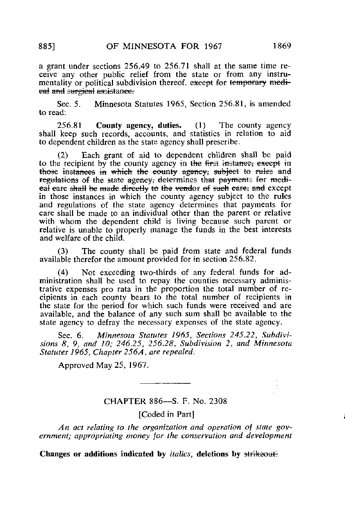a grant under sections 256.49 to 256.71 shall at the same time receive any other public relief from the state or from any instrumentality or political subdivision thereof, except for temporary medieal and surgieal assistance.

Sec. 5. Minnesota Statutes 1965, Section 256.81, is amended to read:

 $256.81$  County agency, duties. (1) The county agency shall keep such records, accounts, and statistics in relation to aid to dependent children as the state agency shall prescribe.

(2) Each grant of aid to dependent children shall be paid to the recipient by the county agency in the first instance, except in those instances in which the county agency, subject to rules and regulations of the state agency, determines that payments for medieal eare shall be made directly to the vendor of such care; and except in those instances in which the county agency subject to the rules and regulations of the state agency determines that payments for care shall be made to an individual other than the parent or relative with whom the dependent child is living because such parent or relative is unable to properly manage the funds in the best interests and welfare of the child.

(3) The county shall be paid from state and federal funds available therefor the amount provided for in section 256.82.

(4) Not exceeding two-thirds of any federal funds for administration shall be used to repay the counties necessary administrative expenses pro rata in the proportion the total number of recipients in each county bears to the total number of recipients in the state for the period for which such funds were received and are available, and the balance of any such sum shall be available to the state agency to defray the necessary expenses of the state agency.

Sec. 6. Minnesota Statutes 1965, Sections 245.22, Subdivisions 8, 9, and 10; 246.25, 256.28, Subdivision 2, and Minnesota Statutes 1965, Chapter 256A, are repealed.

Approved May 25, 1967.

# CHAPTER 886—S. F. No. 2308

[Coded in Part]

An act relating to the organization and operation of state government; appropriating money for the conservation and development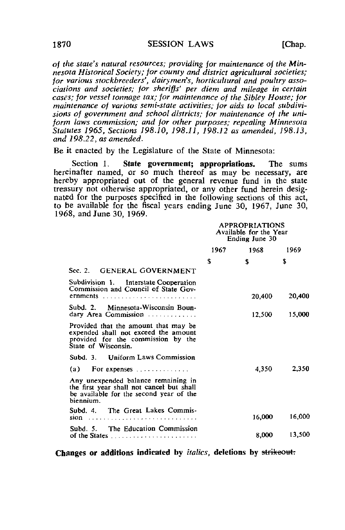of the state's natural resources; providing for maintenance of the Minnesota Historical Society; for county and district agricultural societies; for various stockbreeders', dairymen's, horticultural and poultry associations and societies; for sheriffs' per diem and mileage in certain cases; for vessel tonnage tax; for maintenance of the Sibley House; for maintenance of various semi-state activities; for aids to local subdivisions of government and school districts; for maintenance of the uniform laws commission; and for other purposes; repealing Minnesota Statutes 1965, Sections 198.10, 198.11, 198.12 as amended, 198.13, and 298.22, as amended.

Be it enacted by the Legislature of the State of Minnesota:

Section 1. State government; appropriations. The sums hereinafter named, or so much thereof as may be necessary, are hereby appropriated out of the general revenue fund in the state treasury not otherwise appropriated, or any other fund herein designated for the purposes specified in the following sections of this act, to be available for the fiscal years ending June 30, 1967, June 30, 1968, and June 30, 1969.

|                                                                                                                                           | <b>APPROPRIATIONS</b><br>Available for the Year<br>Ending June 30 |        |        |  |
|-------------------------------------------------------------------------------------------------------------------------------------------|-------------------------------------------------------------------|--------|--------|--|
|                                                                                                                                           | 1967 —                                                            | 1968   | 1969   |  |
|                                                                                                                                           | S                                                                 | S      | S      |  |
| Sec. 2. GENERAL GOVERNMENT                                                                                                                |                                                                   |        |        |  |
| Subdivision 1. Interstate Cooperation<br>Commission and Council of State Gov-<br>ernments                                                 |                                                                   | 20,400 | 20,400 |  |
| Subd. 2. Minnesota-Wisconsin Boun-<br>dary Area Commission                                                                                |                                                                   | 12,500 | 15,000 |  |
| Provided that the amount that may be<br>expended shall not exceed the amount<br>provided for the commission by the<br>State of Wisconsin. |                                                                   |        |        |  |
| Subd. 3. Uniform Laws Commission                                                                                                          |                                                                   |        |        |  |
|                                                                                                                                           |                                                                   | 4.350  | 2,350  |  |
| Any unexpended balance remaining in<br>the first year shall not cancel but shall<br>be available for the second year of the<br>hiennium.  |                                                                   |        |        |  |
| Subd. 4. The Great Lakes Commis-<br>$sion$                                                                                                |                                                                   | 16,000 | 16,000 |  |
| Subd. 5. The Education Commission                                                                                                         |                                                                   | 8.000  | 13,500 |  |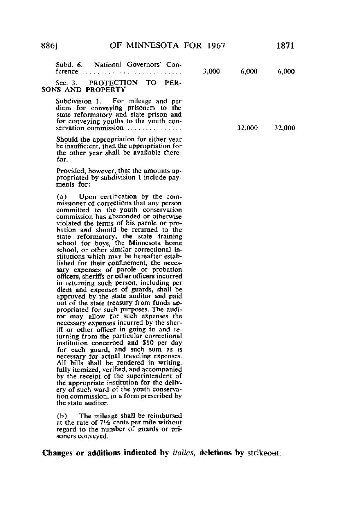| Subd. 6. National Governors' Con-<br>ference                                                                                                                                                   | 3,000 | 6.000  | 6.000  |
|------------------------------------------------------------------------------------------------------------------------------------------------------------------------------------------------|-------|--------|--------|
| Sec. 3. PROTECTION TO<br>PER-<br>SONS AND PROPERTY                                                                                                                                             |       |        |        |
| Subdivision 1. For mileage and per<br>diem for conveying prisoners to the<br>state reformatory and state prison and<br>for conveying youths to the youth con-<br>servation commission $\ldots$ |       | 32,000 | 32,000 |
| Should the appropriation for either year                                                                                                                                                       |       |        |        |

be insufficient, then the appropriation for the other year shall be available therefor.

Provided, however, that the amounts appropriated by subdivision 1 include payments for:

(a) Upon certification by the commissioner of corrections that any person committed to the youth conservation commission has absconded or otherwise violated the terms of his parole or probation and should be returned to the state reformatory, the state training school for boys, the Minnesota home school, or other similar correctional institutions which may be hereafter established for their confinement, the necessary expenses of parole or probation officers, sheriffs or other officers incurred in returning such person, including per diem and expenses of guards, shall be approved by the state auditor and paid out of the state treasury from funds appropriated for such purposes. The auditor may allow for such expenses the necessary expenses incurred by the sheriff or other officer in going to and returning from the particular correctional institution concerned and \$10 per day for each guard, and such sum as is necessary for actual traveling expenses. All bills shall be rendered in writing, fully itemized, verified, and accompanied by the receipt of the superintendent of the appropriate institution for the delivery of such ward of the youth conservation commission, in a form prescribed by the state auditor.

(b) The mileage shall be reimbursed at the rate of  $7\frac{1}{2}$  cents per mile without regard to the number of guards or prisoners conveyed.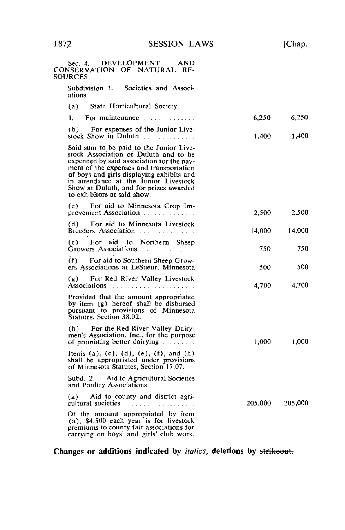1872 SESSION LAWS [Chap.

Sec. 4. DEVELOPMENT AND CONSERVATION OF NATURAL RE-**SOURCES** Subdivision 1. Societies and Associations (a) State Horticultural Society 1. For maintenance  $\ldots$   $\ldots$   $\ldots$  6,250 6,250 (b) For expenses of the Junior Livestock Show in Duluth 1,400 1,400 Said sum to be paid to the Junior Livestock Association of Duluth and to be expended by said association for the payment of the expenses and transportation of boys and girls displaying exhibits and in attendance at the Junior Livestock Show at Duluth, and for prizes awarded to exhibitors at said show. (c) For aid to Minnesota Crop Improvement Association 2,500 2,500 2,500 (d) For aid to Minnesota Livestock Breeders Association 11, 14,000 14,000 14,000 (e) For aid to Northern Sheep Growers Associations **Associations 6**  $750$  750 750 (f) For aid to Southern Sheep Growers Associations at LeSueur, Minnesota 500 500 500 (g) For Red River Valley Livestock Associations 4,700 4,700 4,700 Provided that the amount appropriated by item (g) hereof shall be disbursed pursuant to provisions of Minnesota Statutes, Section 38.02. (h) For the Red River Valley Dairymen's Association, Inc., for the purpose of promoting better dairying 1,000 1,000 1,000 Items (a), (c), (d), (e), (f), and (h) shall be appropriated under provisions of Minnesota Statutes, Section 17.07. Subd. 2. Aid to Agricultural Societies and Poultry Associations (a) Aid to county and district agricultural societies 205,000 205,000 205,000 Of the amount appropriated by item (a), \$4,500 each year is for livestock premiums to county fair associations for carrying on boys' and girls' club work.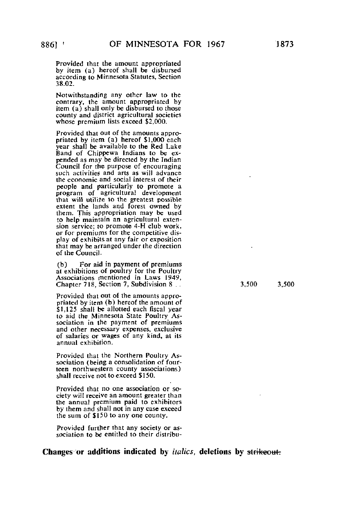Provided that the amount appropriated by item (a) hereof shall be disbursed according to Minnesota Statutes, Section 38.02.

Notwithstanding any other law to the contrary, the amount appropriated by item (a) shall only be disbursed to those county and district agricultural societies whose premium lists exceed \$2,000.

Provided that out of the amounts appropriated by item (a) hereof \$1,000 each year shall be available to the Red Lake Band of Chippewa Indians to be expended as may be directed by the Indian Council for the purpose of encouraging such activities and arts as will advance the economic and social interest of their people and particularly to promote a program of agricultural development that will utilise to the greatest possible extent the lands and forest owned by them. This appropriation may be used to help maintain an agricultural extension service; to promote 4-H club work, or for premiums for the competitive display of exhibits at any fair or exposition that may be arranged under the direction of the Council.

(b) For aid in payment of premiums at exhibitions of poultry for the Poultry Associations mentioned in Laws 1949, Chapter 718, Section 7, Subdivision 8 . . . . . . . . . . . . . 3,500 3,500

Provided that out of the amounts appropriated by item (b) hereof the amount of \$1,125 shall be allotted each fiscal year to aid the Minnesota State Poultry Association in the payment of premiums and other necessary expenses, exclusive of salaries or wages of any kind, at its annual exhibition.

Provided that the Northern Poultry Association (being a consolidation of fourteen northwestern county associations) shall receive not to exceed \$150.

Provided that no one association or society will receive an amount greater than the annual premium paid to exhibitors by them and shall not in any case exceed the sum of \$150 to any one county.

Provided further that any society or association to be entitled to their distribu-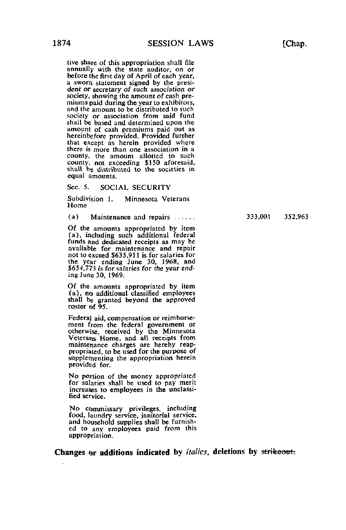tive share of this appropriation shall file annually with the state auditor, on or before the first day of April of each year, a sworn statement signed by the president or secretary of such association or society, showing the amount of cash premiums paid during the year to exhibitors, and the amount to be distributed to such society or association from said fund shall be based and determined upon the amount of cash premiums paid out as hereinbefore provided. Provided further that except as herein provided where there is more than one association in a county, the amount allotted to such county, not exceeding \$150 aforesaid, shall be distributed to the societies in equal amounts.

Sec. 5. SOCIAL SECURITY

Subdivision 1. Minnesota Veterans Home

(a) Maintenance and repairs  $333,001$   $352,963$ 

Of the amounts appropriated by item (a), including such additional federal funds and dedicated receipts as may be available for maintenance and repair not to exceed \$635,911 is for salaries for the year ending June 30, 1968, and \$654,773 is for salaries for the year ending June 30, 1969.

Of the amounts appropriated by item (a), no additional classified employees shall be granted beyond the approved roster of 95.

Federal aid, compensation or reimbursement from the federal government or otherwise, received by the Minnesota Veterans Home, and all receipts from maintenance charges are hereby reappropriated, to be used for the purpose of supplementing the appropriation herein provided for.

No portion of the money appropriated for salaries shall be used to pay merit increases to employees in the unclassified service.

No commissary privileges, including food, laundry service, janitorial service, and household supplies shall be furnished to any employees paid from this appropriation.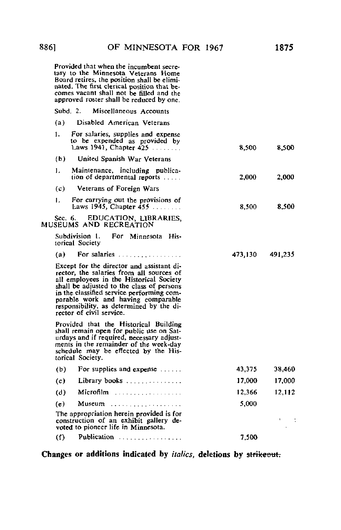Provided that when the incumbent secretary to the Minnesota Veterans Home Board retires, the position shall be eliminated. The first clerical position that be-comes vacant shall not be filled and the approved roster shall be reduced by one.

# Subd. 2. Miscellaneous Accounts (a) Disabled American Veterans 1. For salaries, supplies and expense to be expended as provided by Laws 1941, Chapter  $425$  8,500 8,500 8,500 (b) United Spanish War Veterans 1, Maintenance, including publication of departmental reports .... 2,000 2,000 (c) Veterans of Foreign Wars 1, For carrying out the provisions of Laws 1945, Chapter 455 **8,500** 8,500 8,500 Sec. 6. EDUCATION, LIBRARIES, MUSEUMS AND RECREATION Subdivision 1. For Minnesota Historical Society (a) For salaries  $(473,130)$  491,235 Except for the director and assistant director, the salaries from all sources of all employees in the Historical Society shall be adjusted to the class of persons in the classified service performing comparable work and having comparable responsibility, as determined by the director of civil service. Provided that the Historical Building shall remain open for public use on Saturdays and if required, necessary adjustments in the remainder of the week-day schedule may be effected by the Historical Society. (b) For supplies and expense  $\ldots$  43,375 38,460 (c) Library books  $17,000$  17,000 (d) Microfilm  $(3.112)$  $(e)$  Museum  $\ldots$   $\ldots$   $\ldots$   $\ldots$   $\ldots$  5,000 The appropriation herein provided is for construction of an exhibit gallery de-voted to pioneer life in Minnesota.  $\sim 10$  $\textbf{(f)}$  Publication  $\ldots \ldots \ldots \ldots \ldots$  7,500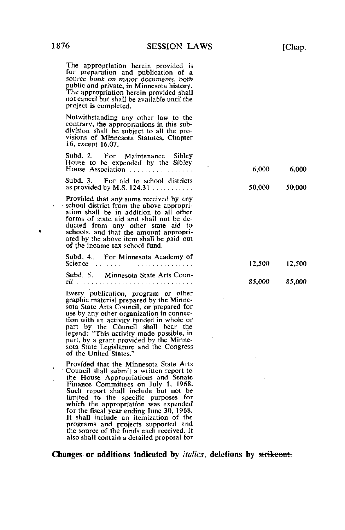The appropriation herein provided is for preparation and publication of a source book on major documents, both public and private, in Minnesota history. The appropriation herein provided shall not cancel but shall be available until the project is completed.

Notwithstanding any other law to the contrary, the appropriations in this subdivision shall be subject to all the provisions of Minnesota Statutes, Chapter 16, except 16.07.

Subd. 2. For Maintenance Sibley

| House to be expended by the Sibley<br>House Association                                                                                                                                                                                                                                                                                | 6.000  | 6.000  |
|----------------------------------------------------------------------------------------------------------------------------------------------------------------------------------------------------------------------------------------------------------------------------------------------------------------------------------------|--------|--------|
| For aid to school districts<br>Subd. 3.<br>as provided by M.S. $124.31$                                                                                                                                                                                                                                                                | 50,000 | 50.000 |
| Provided that any sums received by any<br>school district from the above appropri-<br>ation shall be in addition to all other<br>forms of state aid and shall not be de-<br>ducted from any other state aid to<br>schools, and that the amount appropri-<br>ated by the above item shall be paid out<br>of the income tax school fund. |        |        |
| Subd. 4. For Minnesota Academy of<br>Science                                                                                                                                                                                                                                                                                           | 12,500 | 12.500 |
| Subd. 5. Minnesota State Arts Coun-<br>cil-                                                                                                                                                                                                                                                                                            | 85,000 | 85,000 |
| Every muhlication program or other                                                                                                                                                                                                                                                                                                     |        |        |

Every publication, program or other graphic material prepared by the Minnesota State Arts Council, or prepared for use by any other organization in connection with an activity funded in whole or part by the Council shall bear the legend: "This activity made possible, in part, by a grant provided by the Minnesota State Legislature and the Congress of the United States."

Provided that the Minnesota State Arts • Council shall submit a written report to the House Appropriations and Senate Finance Committees on July 1, 1968. Such report shall include but not be limited to the specific purposes for which the appropriation was expended for the fiscal year ending June 30, 1968. It shall include an itemization of the programs and projects supported and the source of the funds each received. It also shall contain a detailed proposal for

Changes or additions indicated by *italics*, deletions by strikeout.

 $\blacksquare$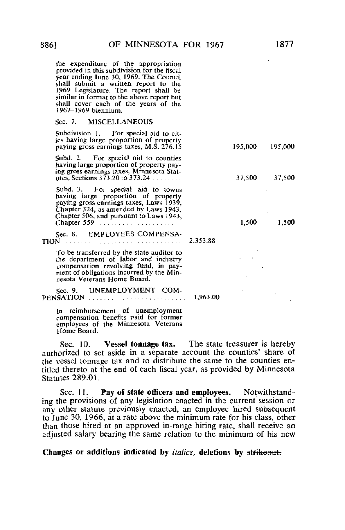the expenditure of the appropriation provided in this subdivision for the fiscal year ending June 30, 1969. The Council shall submit a written report to the 1969 Legislature. The report shall be similar in format to the above report but shall cover each of the years of the 1967-1969 biennium.

### Sec. 7. MISCELLANEOUS

Subdivision 1. For special aid to cities having large proportion of property paying gross earnings taxes, M.S.  $276.15$  195,000 195,000

Subd. 2. For special aid to counties having large proportion of property paying gross earnings taxes, Minnesota Statutes, Sections 373.20 to 373.24 37,500 37,500 37,500

Subd. 3. For special aid to towns having large proportion of property paying gross earnings taxes, Laws 1939, Chapter 324, as amended by Laws 1943, Chapter 506, and pursuant to Laws 1943, Chapter 559 1,500 1,500

Sec. 8. EMPLOYEES COMPENSA-TION 2,353.88

To be transferred by the state auditor to the department of labor and industry compensation revolving fund, in payment of obligations incurred by the Minnesota Veterans Home Board.

Sec. 9. UNEMPLOYMENT COM-PENSATION 1, 2000, 2000, 2000, 2000, 2000, 2000, 2000, 2000, 2000, 2000, 2000, 2000, 2000, 2000, 2000, 2000, 2000, 2000, 2000, 2000, 2000, 2000, 2000, 2000, 2000, 2000, 2000, 2000, 2000, 2000, 2000, 2000, 2000, 2000, 2000,

[n reimbursement of unemployment compensation benefits paid for former employees of the Minnesota Veterans Home Board.

Sec. 10. Vessel tonnage tax. The state treasurer is hereby authorized to set aside in a separate account the counties' share of the vessel tonnage tax and to distribute the same to the counties entitled thereto at the end of each fiscal year, as provided by Minnesota Statutes 289.01.

Sec. 11. Pay of state officers and employees. Notwithstanding the provisions of any legislation enacted in the current session or any other statute previously enacted, an employee hired subsequent to June 30, 1966, at a rate above the minimum rate for his class, other than those hired at an approved in-range hiring rate, shall receive an adjusted salary bearing the same relation to the minimum of his new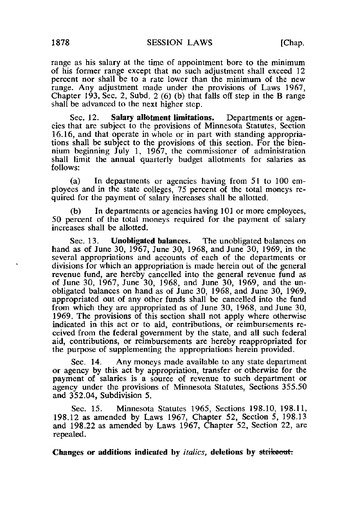range as his salary at the time of appointment bore to the minimum of his former range except that no such adjustment shall exceed 12 percent nor shall be to a rate lower than the minimum of the new range. Any adjustment made under the provisions of Laws 1967, Chapter 193, Sec. 2, Subd.  $2(6)(b)$  that falls off step in the B range shall be advanced to the next higher step.

Sec. 12. Salary allotment limitations. Departments or agencies that are subject to the provisions of Minnesota Statutes, Section 16.16, and that operate in whole or in part with standing appropriations shall be subject to the provisions of this section. For the biennium beginning July 1, 1967, the commissioner of administration shall limit the annual quarterly budget allotments for salaries as follows:

(a) In departments or agencies having from 51 to 100 employees and in the state colleges, 75 percent of the total moneys required for the payment of salary increases shall be allotted.

(b) In departments or agencies having 101 or more employees, 50 percent of the total moneys required for the payment of salary increases shall be allotted.

Sec. 13. **Unobligated balances.** The unobligated balances on hand as of June 30, 1967, June 30, 1968, and June 30, 1969, in the several appropriations and accounts of each of the departments or divisions for which an appropriation is made herein out of the general revenue fund, are hereby cancelled into the general revenue fund as of June 30, 1967, June 30, 1968, and June 30, 1969, and the unobligated balances on hand as of June 30, 1968, and June 30, 1969, appropriated out of any other funds shall be cancelled into the fund from which they are appropriated as of June 30, 1968, and June 30, 1969. The provisions of this section shall not apply where otherwise indicated in this act or to aid, contributions, or reimbursements received from the federal government by the state, and all such federal aid, contributions, or reimbursements are hereby reappropriated for the purpose of supplementing the appropriations herein provided.

Sec. 14. Any moneys made available to any state department or agency by this act by appropriation, transfer or otherwise for the payment of salaries is a source of revenue to such department or agency under the provisions of Minnesota Statutes, Sections 355.50 and 352.04, Subdivision 5.

Sec. 15. Minnesota Statutes 1965, Sections 198.10, 198.11, 198.12 as amended by Laws 1967, Chapter 52, Section 5, 198.13 and 198.22 as amended by Laws 1967, Chapter 52, Section 22, are repealed.